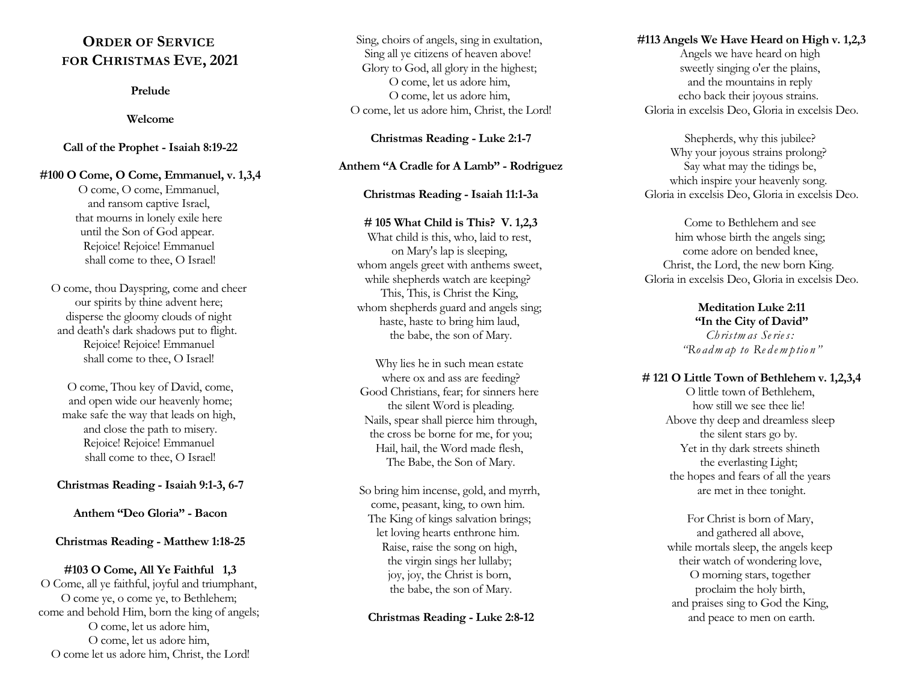# **ORDER OF SERVICE FOR CHRISTMAS EVE, 2021**

#### **Prelude**

#### **Welcome**

#### **Call of the Prophet - Isaiah 8:19-22**

**#100 O Come, O Come, Emmanuel, v. 1,3,4** O come, O come, Emmanuel, and ransom captive Israel, that mourns in lonely exile here until the Son of God appear. Rejoice! Rejoice! Emmanuel shall come to thee, O Israel!

O come, thou Dayspring, come and cheer our spirits by thine advent here; disperse the gloomy clouds of night and death's dark shadows put to flight. Rejoice! Rejoice! Emmanuel shall come to thee, O Israel!

O come, Thou key of David, come, and open wide our heavenly home; make safe the way that leads on high, and close the path to misery. Rejoice! Rejoice! Emmanuel shall come to thee, O Israel!

#### **Christmas Reading - Isaiah 9:1-3, 6-7**

#### **Anthem "Deo Gloria" - Bacon**

#### **Christmas Reading - Matthew 1:18-25**

#### **#103 O Come, All Ye Faithful 1,3**

O Come, all ye faithful, joyful and triumphant, O come ye, o come ye, to Bethlehem; come and behold Him, born the king of angels; O come, let us adore him, O come, let us adore him, O come let us adore him, Christ, the Lord!

Sing, choirs of angels, sing in exultation, Sing all ye citizens of heaven above! Glory to God, all glory in the highest; O come, let us adore him, O come, let us adore him, O come, let us adore him, Christ, the Lord!

**Christmas Reading - Luke 2:1-7**

#### **Anthem "A Cradle for A Lamb" - Rodriguez**

#### **Christmas Reading - Isaiah 11:1-3a**

#### **# 105 What Child is This? V. 1,2,3**

What child is this, who, laid to rest, on Mary's lap is sleeping, whom angels greet with anthems sweet, while shepherds watch are keeping? This, This, is Christ the King, whom shepherds guard and angels sing; haste, haste to bring him laud, the babe, the son of Mary.

Why lies he in such mean estate where ox and ass are feeding? Good Christians, fear; for sinners here the silent Word is pleading. Nails, spear shall pierce him through, the cross be borne for me, for you; Hail, hail, the Word made flesh, The Babe, the Son of Mary.

So bring him incense, gold, and myrrh, come, peasant, king, to own him. The King of kings salvation brings; let loving hearts enthrone him. Raise, raise the song on high, the virgin sings her lullaby; joy, joy, the Christ is born, the babe, the son of Mary.

#### **Christmas Reading - Luke 2:8-12**

#### **#113 Angels We Have Heard on High v. 1,2,3**

Angels we have heard on high sweetly singing o'er the plains, and the mountains in reply echo back their joyous strains. Gloria in excelsis Deo, Gloria in excelsis Deo.

Shepherds, why this jubilee? Why your joyous strains prolong? Say what may the tidings be, which inspire your heavenly song. Gloria in excelsis Deo, Gloria in excelsis Deo.

Come to Bethlehem and see him whose birth the angels sing; come adore on bended knee, Christ, the Lord, the new born King. Gloria in excelsis Deo, Gloria in excelsis Deo.

> **Meditation Luke 2:11 "In the City of David"** *Ch ristm as Se rie s: "Ro adm ap to Re d em p tio n "*

#### **# 121 O Little Town of Bethlehem v. 1,2,3,4**

O little town of Bethlehem, how still we see thee lie! Above thy deep and dreamless sleep the silent stars go by. Yet in thy dark streets shineth the everlasting Light; the hopes and fears of all the years are met in thee tonight.

For Christ is born of Mary, and gathered all above, while mortals sleep, the angels keep their watch of wondering love, O morning stars, together proclaim the holy birth, and praises sing to God the King, and peace to men on earth.